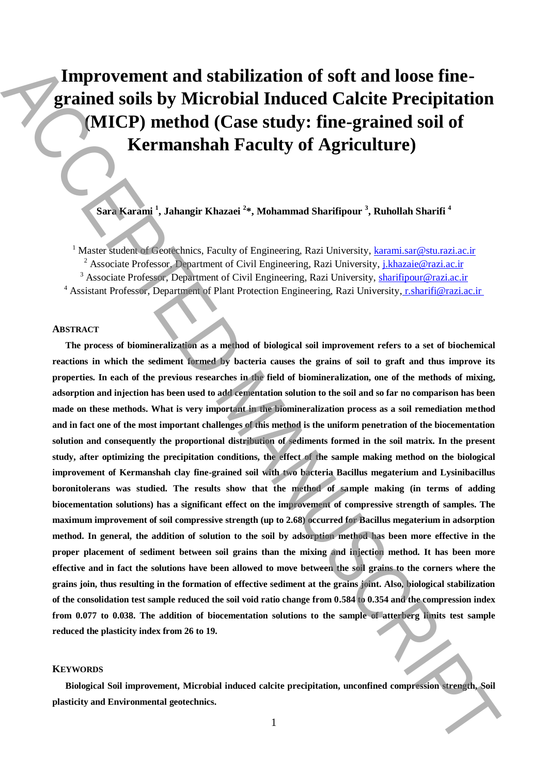# **Improvement and stabilization of soft and loose finegrained soils by Microbial Induced Calcite Precipitation (MICP) method (Case study: fine-grained soil of Kermanshah Faculty of Agriculture)**

**Sara Karami <sup>1</sup> , Jahangir Khazaei <sup>2</sup> \*, Mohammad Sharifipour <sup>3</sup> , Ruhollah Sharifi <sup>4</sup>**

<sup>1</sup> Master student of Geotechnics, Faculty of Engineering, Razi University, karami.sar@stu.razi.ac.ir <sup>2</sup> Associate Professor, Department of Civil Engineering, Razi University, *j.khazaie@razi.ac.ir* <sup>3</sup> Associate Professor, Department of Civil Engineering, Razi University, **sharifipour@razi.ac.ir** <sup>4</sup> Assistant Professor, Department of Plant Protection Engineering, Razi University, r.sharifi@razi.ac.ir

## **ABSTRACT**

**The process of biomineralization as a method of biological soil improvement refers to a set of biochemical reactions in which the sediment formed by bacteria causes the grains of soil to graft and thus improve its properties. In each of the previous researches in the field of biomineralization, one of the methods of mixing, adsorption and injection has been used to add cementation solution to the soil and so far no comparison has been made on these methods. What is very important in the biomineralization process as a soil remediation method and in fact one of the most important challenges of this method is the uniform penetration of the biocementation solution and consequently the proportional distribution of sediments formed in the soil matrix. In the present study, after optimizing the precipitation conditions, the effect of the sample making method on the biological improvement of Kermanshah clay fine-grained soil with two bacteria Bacillus megaterium and Lysinibacillus boronitolerans was studied. The results show that the method of sample making (in terms of adding biocementation solutions) has a significant effect on the improvement of compressive strength of samples. The maximum improvement of soil compressive strength (up to 2.68) occurred for Bacillus megaterium in adsorption method. In general, the addition of solution to the soil by adsorption method has been more effective in the proper placement of sediment between soil grains than the mixing and injection method. It has been more effective and in fact the solutions have been allowed to move between the soil grains to the corners where the grains join, thus resulting in the formation of effective sediment at the grains joint. Also, biological stabilization of the consolidation test sample reduced the soil void ratio change from 0.584 to 0.354 and the compression index from 0.077 to 0.038. The addition of biocementation solutions to the sample of atterberg limits test sample reduced the plasticity index from 26 to 19. Example 20 Improvement and stabilization of soft and loose fine-<br>grained soils by Microbial Induced Calcite Precipitation<br>(MICP) method (Case study: fine-grained soil of<br>Kermanshah Faculty of Agriculture)<br>
Manuscription** 

## **KEYWORDS**

**Biological Soil improvement, Microbial induced calcite precipitation, unconfined compression strength, Soil**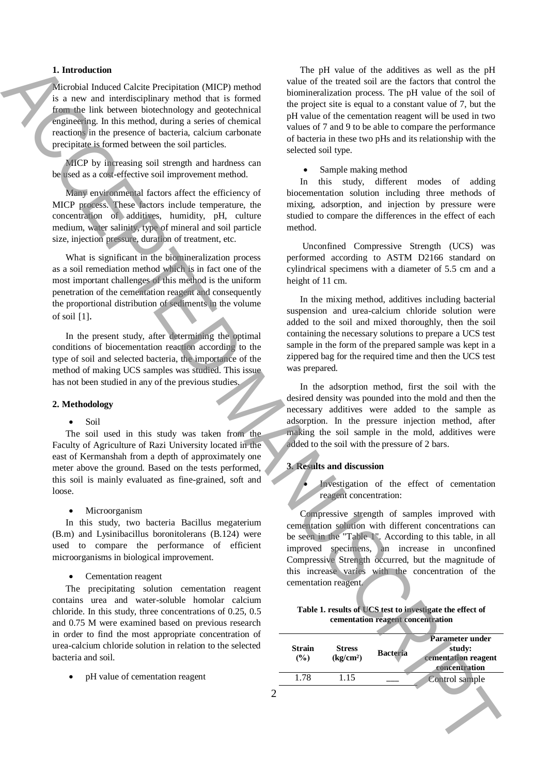## **1. Introduction**

Microbial Induced Calcite Precipitation (MICP) method is a new and interdisciplinary method that is formed from the link between biotechnology and geotechnical engineering. In this method, during a series of chemical reactions in the presence of bacteria, calcium carbonate precipitate is formed between the soil particles.

MICP by increasing soil strength and hardness can be used as a cost-effective soil improvement method.

Many environmental factors affect the efficiency of MICP process. These factors include temperature, the concentration of additives, humidity, pH, culture medium, water salinity, type of mineral and soil particle size, injection pressure, duration of treatment, etc.

What is significant in the biomineralization process as a soil remediation method which is in fact one of the most important challenges of this method is the uniform penetration of the cementation reagent and consequently the proportional distribution of sediments in the volume of soil [1].

In the present study, after determining the optimal conditions of biocementation reaction according to the type of soil and selected bacteria, the importance of the method of making UCS samples was studied. This issue has not been studied in any of the previous studies.

#### **2. Methodology**

#### $\bullet$  Soil

The soil used in this study was taken from the Faculty of Agriculture of Razi University located in the east of Kermanshah from a depth of approximately one meter above the ground. Based on the tests performed, this soil is mainly evaluated as fine-grained, soft and loose.

Microorganism

In this study, two bacteria Bacillus megaterium (B.m) and Lysinibacillus boronitolerans (B.124) were used to compare the performance of efficient microorganisms in biological improvement.

Cementation reagent

The precipitating solution cementation reagent contains urea and water-soluble homolar calcium chloride. In this study, three concentrations of 0.25, 0.5 and 0.75 M were examined based on previous research in order to find the most appropriate concentration of urea-calcium chloride solution in relation to the selected bacteria and soil.

pH value of cementation reagent

The pH value of the additives as well as the pH value of the treated soil are the factors that control the biomineralization process. The pH value of the soil of the project site is equal to a constant value of 7, but the pH value of the cementation reagent will be used in two values of 7 and 9 to be able to compare the performance of bacteria in these two pHs and its relationship with the selected soil type.

• Sample making method

In this study, different modes of adding biocementation solution including three methods of mixing, adsorption, and injection by pressure were studied to compare the differences in the effect of each method.

Unconfined Compressive Strength (UCS) was performed according to ASTM D2166 standard on cylindrical specimens with a diameter of 5.5 cm and a height of 11 cm.

In the mixing method, additives including bacterial suspension and urea-calcium chloride solution were added to the soil and mixed thoroughly, then the soil containing the necessary solutions to prepare a UCS test sample in the form of the prepared sample was kept in a zippered bag for the required time and then the UCS test was prepared.

In the adsorption method, first the soil with the desired density was pounded into the mold and then the necessary additives were added to the sample as adsorption. In the pressure injection method, after making the soil sample in the mold, additives were added to the soil with the pressure of 2 bars.

## **3. Results and discussion**

 Investigation of the effect of cementation reagent concentration:

Compressive strength of samples improved with cementation solution with different concentrations can be seen in the "Table 1". According to this table, in all improved specimens, an increase in unconfined Compressive Strength occurred, but the magnitude of this increase varies with the concentration of the cementation reagent.

**Table 1. results of UCS test to investigate the effect of cementation reagent concentration**